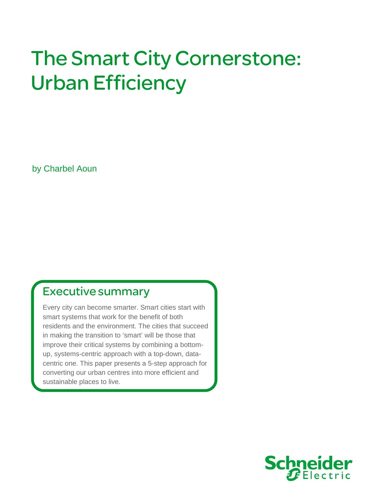# The Smart City Cornerstone: Urban Efficiency

by Charbel Aoun

# Executive summary

Every city can become smarter. Smart cities start with smart systems that work for the benefit of both residents and the environment. The cities that succeed in making the transition to 'smart' will be those that improve their critical systems by combining a bottomup, systems-centric approach with a top-down, datacentric one. This paper presents a 5-step approach for converting our urban centres into more efficient and sustainable places to live.

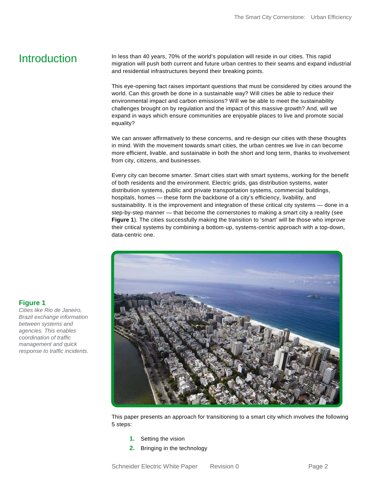## **Introduction**

**Figure 1**

*Cities like Rio de Janeiro, Brazil exchange information between systems and agencies. This enables coordination of traffic management and quick response to traffic incidents.* In less than 40 years, 70% of the world's population will reside in our cities. This rapid migration will push both current and future urban centres to their seams and expand industrial and residential infrastructures beyond their breaking points.

This eye-opening fact raises important questions that must be considered by cities around the world. Can this growth be done in a sustainable way? Will cities be able to reduce their environmental impact and carbon emissions? Will we be able to meet the sustainability challenges brought on by regulation and the impact of this massive growth? And, will we expand in ways which ensure communities are enjoyable places to live and promote social equality?

We can answer affirmatively to these concerns, and re-design our cities with these thoughts in mind. With the movement towards smart cities, the urban centres we live in can become more efficient, livable, and sustainable in both the short and long term, thanks to involvement from city, citizens, and businesses.

Every city can become smarter. Smart cities start with smart systems, working for the benefit of both residents and the environment. Electric grids, gas distribution systems, water distribution systems, public and private transportation systems, commercial buildings, hospitals, homes — these form the backbone of a city's efficiency, livability, and sustainability. It is the improvement and integration of these critical city systems — done in a step-by-step manner — that become the cornerstones to making a smart city a reality (see **Figure 1**). The cities successfully making the transition to 'smart' will be those who improve their critical systems by combining a bottom-up, systems-centric approach with a top-down, data-centric one.



This paper presents an approach for transitioning to a smart city which involves the following 5 steps:

- **1.** Setting the vision
- **2.** Bringing in the technology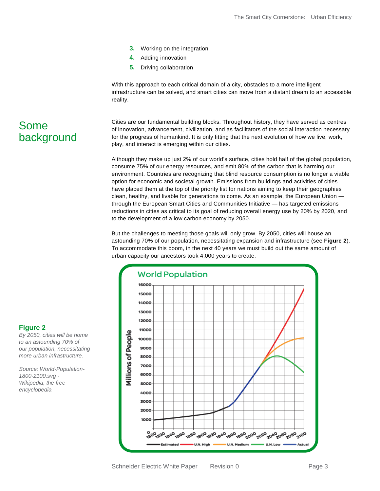- **3.** Working on the integration
- **4.** Adding innovation
- **5.** Driving collaboration

With this approach to each critical domain of a city, obstacles to a more intelligent infrastructure can be solved, and smart cities can move from a distant dream to an accessible reality.

Cities are our fundamental building blocks. Throughout history, they have served as centres of innovation, advancement, civilization, and as facilitators of the social interaction necessary for the progress of humankind. It is only fitting that the next evolution of how we live, work, play, and interact is emerging within our cities.

Although they make up just 2% of our world's surface, cities hold half of the global population, consume 75% of our energy resources, and emit 80% of the carbon that is harming our environment. Countries are recognizing that blind resource consumption is no longer a viable option for economic and societal growth. Emissions from buildings and activities of cities have placed them at the top of the priority list for nations aiming to keep their geographies clean, healthy, and livable for generations to come. As an example, the European Union through the European Smart Cities and Communities Initiative — has targeted emissions reductions in cities as critical to its goal of reducing overall energy use by 20% by 2020, and to the development of a low carbon economy by 2050.

But the challenges to meeting those goals will only grow. By 2050, cities will house an astounding 70% of our population, necessitating expansion and infrastructure (see **Figure 2**). To accommodate this boom, in the next 40 years we must build out the same amount of urban capacity our ancestors took 4,000 years to create.



### Some background

#### **Figure 2**

*By 2050, cities will be home to an astounding 70% of our population, necessitating more urban infrastructure.*

*Source: World-Population-1800-2100.svg - Wikipedia, the free encyclopedia*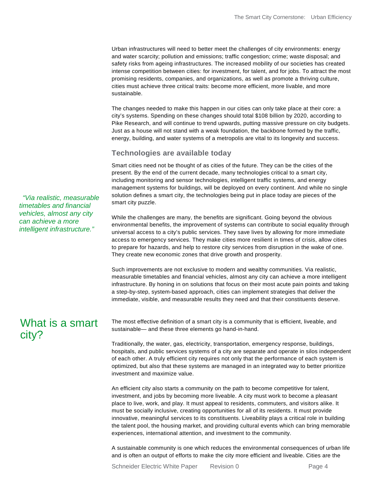Urban infrastructures will need to better meet the challenges of city environments: energy and water scarcity; pollution and emissions; traffic congestion; crime; waste disposal; and safety risks from ageing infrastructures. The increased mobility of our societies has created intense competition between cities: for investment, for talent, and for jobs. To attract the most promising residents, companies, and organizations, as well as promote a thriving culture, cities must achieve three critical traits: become more efficient, more livable, and more sustainable.

The changes needed to make this happen in our cities can only take place at their core: a city's systems. Spending on these changes should total \$108 billion by 2020, according to Pike Research, and will continue to trend upwards, putting massive pressure on city budgets. Just as a house will not stand with a weak foundation, the backbone formed by the traffic, energy, building, and water systems of a metropolis are vital to its longevity and success.

#### **Technologies are available today**

Smart cities need not be thought of as cities of the future. They can be the cities of the present. By the end of the current decade, many technologies critical to a smart city, including monitoring and sensor technologies, intelligent traffic systems, and energy management systems for buildings, will be deployed on every continent. And while no single solution defines a smart city, the technologies being put in place today are pieces of the smart city puzzle.

While the challenges are many, the benefits are significant. Going beyond the obvious environmental benefits, the improvement of systems can contribute to social equality through universal access to a city's public services. They save lives by allowing for more immediate access to emergency services. They make cities more resilient in times of crisis, allow cities to prepare for hazards, and help to restore city services from disruption in the wake of one. They create new economic zones that drive growth and prosperity.

Such improvements are not exclusive to modern and wealthy communities. Via realistic, measurable timetables and financial vehicles, almost any city can achieve a more intelligent infrastructure. By honing in on solutions that focus on their most acute pain points and taking a step-by-step, system-based approach, cities can implement strategies that deliver the immediate, visible, and measurable results they need and that their constituents deserve.

### What is a smart city?

*"Via realistic, measurable timetables and financial vehicles, almost any city can achieve a more intelligent infrastructure."*

> The most effective definition of a smart city is a community that is efficient, liveable, and sustainable— and these three elements go hand-in-hand.

Traditionally, the water, gas, electricity, transportation, emergency response, buildings, hospitals, and public services systems of a city are separate and operate in silos independent of each other. A truly efficient city requires not only that the performance of each system is optimized, but also that these systems are managed in an integrated way to better prioritize investment and maximize value.

An efficient city also starts a community on the path to become competitive for talent, investment, and jobs by becoming more liveable. A city must work to become a pleasant place to live, work, and play. It must appeal to residents, commuters, and visitors alike. It must be socially inclusive, creating opportunities for all of its residents. It must provide innovative, meaningful services to its constituents. Liveability plays a critical role in building the talent pool, the housing market, and providing cultural events which can bring memorable experiences, international attention, and investment to the community.

A sustainable community is one which reduces the environmental consequences of urban life and is often an output of efforts to make the city more efficient and liveable. Cities are the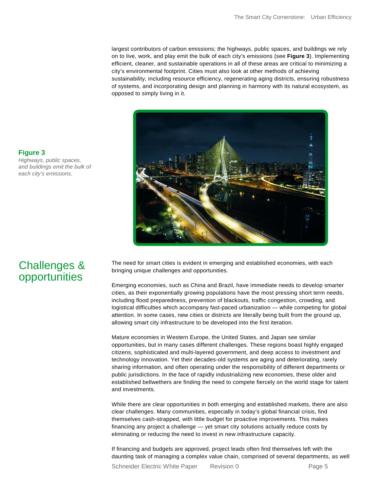largest contributors of carbon emissions; the highways, public spaces, and buildings we rely on to live, work, and play emit the bulk of each city's emissions (see **Figure 3**). Implementing efficient, cleaner, and sustainable operations in all of these areas are critical to minimizing a city's environmental footprint. Cities must also look at other methods of achieving sustainability, including resource efficiency, regenerating aging districts, ensuring robustness of systems, and incorporating design and planning in harmony with its natural ecosystem, as opposed to simply living in it.



**Figure 3** *Highways, public spaces, and buildings emit the bulk of each city's emissions.*

## Challenges & opportunities

The need for smart cities is evident in emerging and established economies, with each bringing unique challenges and opportunities.

Emerging economies, such as China and Brazil, have immediate needs to develop smarter cities, as their exponentially growing populations have the most pressing short term needs, including flood preparedness, prevention of blackouts, traffic congestion, crowding, and logistical difficulties which accompany fast-paced urbanization — while competing for global attention. In some cases, new cities or districts are literally being built from the ground up, allowing smart city infrastructure to be developed into the first iteration.

Mature economies in Western Europe, the United States, and Japan see similar opportunities, but in many cases different challenges. These regions boast highly engaged citizens, sophisticated and multi-layered government, and deep access to investment and technology innovation. Yet their decades-old systems are aging and deteriorating, rarely sharing information, and often operating under the responsibility of different departments or public jurisdictions. In the face of rapidly industrializing new economies, these older and established bellwethers are finding the need to compete fiercely on the world stage for talent and investments.

While there are clear opportunities in both emerging and established markets, there are also clear challenges. Many communities, especially in today's global financial crisis, find themselves cash-strapped, with little budget for proactive improvements. This makes financing any project a challenge — yet smart city solutions actually reduce costs by eliminating or reducing the need to invest in new infrastructure capacity.

If financing and budgets are approved, project leads often find themselves left with the daunting task of managing a complex value chain, comprised of several departments, as well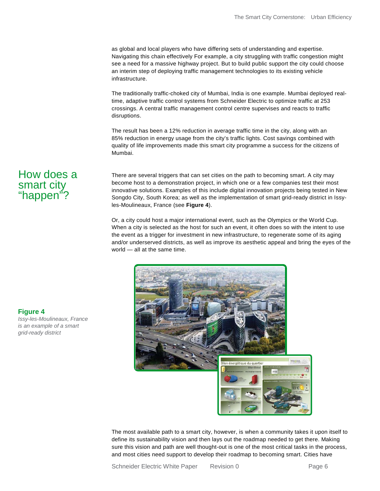as global and local players who have differing sets of understanding and expertise. Navigating this chain effectively For example, a city struggling with traffic congestion might see a need for a massive highway project. But to build public support the city could choose an interim step of deploying traffic management technologies to its existing vehicle infrastructure.

The traditionally traffic-choked city of Mumbai, India is one example. Mumbai deployed realtime, adaptive traffic control systems from Schneider Electric to optimize traffic at 253 crossings. A central traffic management control centre supervises and reacts to traffic disruptions.

The result has been a 12% reduction in average traffic time in the city, along with an 85% reduction in energy usage from the city's traffic lights. Cost savings combined with quality of life improvements made this smart city programme a success for the citizens of Mumbai.

#### There are several triggers that can set cities on the path to becoming smart. A city may become host to a demonstration project, in which one or a few companies test their most innovative solutions. Examples of this include digital innovation projects being tested in New Songdo City, South Korea; as well as the implementation of smart grid-ready district in Issyles-Moulineaux, France (see **Figure 4**).

Or, a city could host a major international event, such as the Olympics or the World Cup. When a city is selected as the host for such an event, it often does so with the intent to use the event as a trigger for investment in new infrastructure, to regenerate some of its aging and/or underserved districts, as well as improve its aesthetic appeal and bring the eyes of the world — all at the same time.



The most available path to a smart city, however, is when a community takes it upon itself to define its sustainability vision and then lays out the roadmap needed to get there. Making sure this vision and path are well thought-out is one of the most critical tasks in the process, and most cities need support to develop their roadmap to becoming smart. Cities have

**Figure 4** *Issy-les-Moulineaux, France is an example of a smart grid-ready district* 

How does a

smart city "happen"?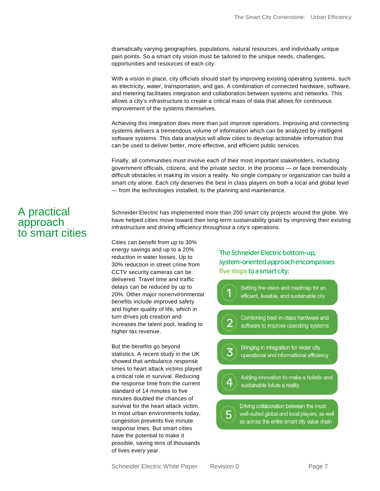dramatically varying geographies, populations, natural resources, and individually unique pain points. So a smart city vision must be tailored to the unique needs, challenges, opportunities and resources of each city.

With a vision in place, city officials should start by improving existing operating systems, such as electricity, water, transportation, and gas. A combination of connected hardware, software, and metering facilitates integration and collaboration between systems and networks. This allows a city's infrastructure to create a critical mass of data that allows for continuous improvement of the systems themselves.

Achieving this integration does more than just improve operations. Improving and connecting systems delivers a tremendous volume of information which can be analyzed by intelligent software systems. This data analysis will allow cities to develop actionable information that can be used to deliver better, more effective, and efficient public services.

Finally, all communities must involve each of their most important stakeholders, including government officials, citizens, and the private sector, in the process — or face tremendously difficult obstacles in making its vision a reality. No single company or organization can build a smart city alone. Each city deserves the best in class players on both a local and global level — from the technologies installed, to the planning and maintenance.

Schneider Electric has implemented more than 200 smart city projects around the globe. We have helped cities move toward their long-term sustainability goals by improving their existing infrastructure and driving efficiency throughout a city's operations.

Cities can benefit from up to 30% energy savings and up to a 20% reduction in water losses. Up to 30% reduction in street crime from CCTV security cameras can be delivered. Travel time and traffic delays can be reduced by up to 20%. Other major nonenvironmental benefits include improved safety and higher quality of life, which in turn drives job creation and increases the talent pool, leading to higher tax revenue.

But the benefits go beyond statistics. A recent study in the UK showed that ambulance response times to heart attack victims played a critical role in survival. Reducing the response time from the current standard of 14 minutes to five minutes doubled the chances of survival for the heart attack victim. In most urban environments today, congestion prevents five minute response imes. But smart cities have the potential to make it possible, saving tens of thousands of lives every year.

#### The Schneider Electric bottom-up, system-oriented approach encompasses five steps to a smart city:



A practical approach

to smart cities

Schneider Electric White Paper Revision 0 Page 7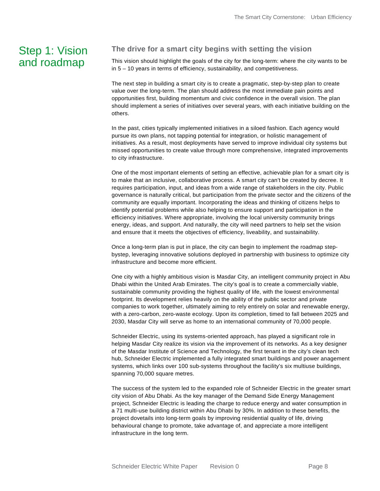#### Step 1: Vision and roadmap

#### **The drive for a smart city begins with setting the vision**

This vision should highlight the goals of the city for the long-term: where the city wants to be in 5 – 10 years in terms of efficiency, sustainability, and competitiveness.

The next step in building a smart city is to create a pragmatic, step-by-step plan to create value over the long-term. The plan should address the most immediate pain points and opportunities first, building momentum and civic confidence in the overall vision. The plan should implement a series of initiatives over several years, with each initiative building on the others.

In the past, cities typically implemented initiatives in a siloed fashion. Each agency would pursue its own plans, not tapping potential for integration, or holistic management of initiatives. As a result, most deployments have served to improve individual city systems but missed opportunities to create value through more comprehensive, integrated improvements to city infrastructure.

One of the most important elements of setting an effective, achievable plan for a smart city is to make that an inclusive, collaborative process. A smart city can't be created by decree. It requires participation, input, and ideas from a wide range of stakeholders in the city. Public governance is naturally critical, but participation from the private sector and the citizens of the community are equally important. Incorporating the ideas and thinking of citizens helps to identify potential problems while also helping to ensure support and participation in the efficiency initiatives. Where appropriate, involving the local university community brings energy, ideas, and support. And naturally, the city will need partners to help set the vision and ensure that it meets the objectives of efficiency, liveability, and sustainability.

Once a long-term plan is put in place, the city can begin to implement the roadmap stepbystep, leveraging innovative solutions deployed in partnership with business to optimize city infrastructure and become more efficient.

One city with a highly ambitious vision is Masdar City, an intelligent community project in Abu Dhabi within the United Arab Emirates. The city's goal is to create a commercially viable, sustainable community providing the highest quality of life, with the lowest environmental footprint. Its development relies heavily on the ability of the public sector and private companies to work together, ultimately aiming to rely entirely on solar and renewable energy, with a zero-carbon, zero-waste ecology. Upon its completion, timed to fall between 2025 and 2030, Masdar City will serve as home to an international community of 70,000 people.

Schneider Electric, using its systems-oriented approach, has played a significant role in helping Masdar City realize its vision via the improvement of its networks. As a key designer of the Masdar Institute of Science and Technology, the first tenant in the city's clean tech hub, Schneider Electric implemented a fully integrated smart buildings and power anagement systems, which links over 100 sub-systems throughout the facility's six multiuse buildings, spanning 70,000 square metres.

The success of the system led to the expanded role of Schneider Electric in the greater smart city vision of Abu Dhabi. As the key manager of the Demand Side Energy Management project, Schneider Electric is leading the charge to reduce energy and water consumption in a 71 multi-use building district within Abu Dhabi by 30%. In addition to these benefits, the project dovetails into long-term goals by improving residential quality of life, driving behavioural change to promote, take advantage of, and appreciate a more intelligent infrastructure in the long term.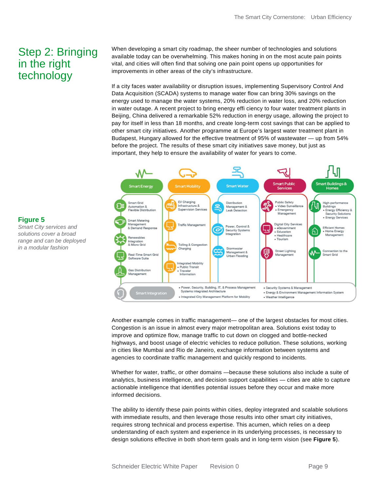### Step 2: Bringing in the right technology

When developing a smart city roadmap, the sheer number of technologies and solutions available today can be overwhelming. This makes honing in on the most acute pain points vital, and cities will often find that solving one pain point opens up opportunities for improvements in other areas of the city's infrastructure.

If a city faces water availability or disruption issues, implementing Supervisory Control And Data Acquisition (SCADA) systems to manage water flow can bring 30% savings on the energy used to manage the water systems, 20% reduction in water loss, and 20% reduction in water outage. A recent project to bring energy effi ciency to four water treatment plants in Beijing, China delivered a remarkable 52% reduction in energy usage, allowing the project to pay for itself in less than 18 months, and create long-term cost savings that can be applied to other smart city initiatives. Another programme at Europe's largest water treatment plant in Budapest, Hungary allowed for the effective treatment of 95% of wastewater — up from 54% before the project. The results of these smart city initiatives save money, but just as important, they help to ensure the availability of water for years to come.



Another example comes in traffic management— one of the largest obstacles for most cities. Congestion is an issue in almost every major metropolitan area. Solutions exist today to improve and optimize flow, manage traffic to cut down on clogged and bottle-necked highways, and boost usage of electric vehicles to reduce pollution. These solutions, working in cities like Mumbai and Rio de Janeiro, exchange information between systems and agencies to coordinate traffic management and quickly respond to incidents.

Whether for water, traffic, or other domains —because these solutions also include a suite of analytics, business intelligence, and decision support capabilities — cities are able to capture actionable intelligence that identifies potential issues before they occur and make more informed decisions.

The ability to identify these pain points within cities, deploy integrated and scalable solutions with immediate results, and then leverage those results into other smart city initiatives, requires strong technical and process expertise. This acumen, which relies on a deep understanding of each system and experience in its underlying processes, is necessary to design solutions effective in both short-term goals and in long-term vision (see **Figure 5**).

#### **Figure 5**

*Smart City services and solutions cover a broad range and can be deployed in a modular fashion*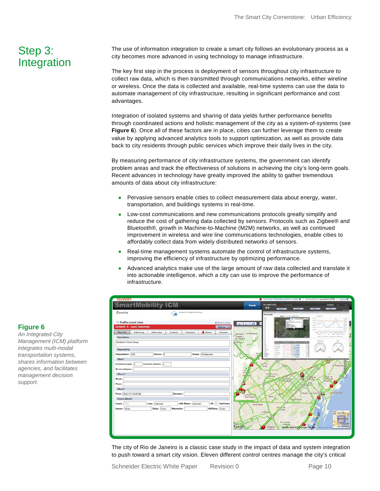### Step 3: Integration

The use of information integration to create a smart city follows an evolutionary process as a city becomes more advanced in using technology to manage infrastructure.

The key first step in the process is deployment of sensors throughout city infrastructure to collect raw data, which is then transmitted through communications networks, either wireline or wireless. Once the data is collected and available, real-time systems can use the data to automate management of city infrastructure, resulting in significant performance and cost advantages.

Integration of isolated systems and sharing of data yields further performance benefits through coordinated actions and holistic management of the city as a system-of-systems (see **Figure 6**). Once all of these factors are in place, cities can further leverage them to create value by applying advanced analytics tools to support optimization, as well as provide data back to city residents through public services which improve their daily lives in the city.

By measuring performance of city infrastructure systems, the government can identify problem areas and track the effectiveness of solutions in achieving the city's long-term goals. Recent advances in technology have greatly improved the ability to gather tremendous amounts of data about city infrastructure:

- Pervasive sensors enable cities to collect measurement data about energy, water, transportation, and buildings systems in real-time.
- Low-cost communications and new communications protocols greatly simplify and reduce the cost of gathering data collected by sensors. Protocols such as Zigbee® and Bluetooth®, growth in Machine-to-Machine (M2M) networks, as well as continued improvement in wireless and wire line communications technologies, enable cities to affordably collect data from widely distributed networks of sensors.
- Real-time management systems automate the control of infrastructure systems, improving the efficiency of infrastructure by optimizing performance.
- Advanced analytics make use of the large amount of raw data collected and translate it into actionable intelligence, which a city can use to improve the performance of infrastructure.

| <b>TELVENT</b>                                                                                             | You have 19 pending alarms or alerts X   Connected as: sysadmin (ICM)   Logout X                                      |
|------------------------------------------------------------------------------------------------------------|-----------------------------------------------------------------------------------------------------------------------|
| <b>SmartMobility ICM</b>                                                                                   | TELVENT-ICM<br><b>Sales</b><br>Events<br>EЮ<br>1.1.6 849                                                              |
| Events<br>Incident in Diagonal Avenue                                                                      | <b>ARCHITECTS</b>                                                                                                     |
|                                                                                                            | MM 3. 1. 3 口目示止<br>-<br>Jack E ARR T                                                                                  |
| <sup>200</sup> Traffic event view<br>+ Back to table<br>$\sim$ $\Omega$                                    | -<br>-<br>$-$                                                                                                         |
| Incident: 6 - open (resolved)<br>Options                                                                   |                                                                                                                       |
| A Alarma<br>Main info.<br>Actions log<br>Action plan<br>Contacts.<br>Cameras<br>Scenarios<br>Valividrera : | $\sim$<br>×<br><b>Telephone</b><br>La Rabassada<br>$\sim$<br>$\sim$<br><b>Septime</b><br><b>WARD, CAROLINE</b><br>$-$ |
| Tibidabo i<br>Description<br>les Plans                                                                     | able carrier present and colour and other                                                                             |
| Incident in Carrer Aragó<br>dividrera.                                                                     | <b>LOAN FOR</b><br><b>SECURITY</b><br><b>ALC: ANN</b>                                                                 |
| Reported by                                                                                                | <b>SCORE</b><br><b>Window</b><br>Linean<br>mini<br><b>STERNAM</b><br><b>HOMES</b><br><b>Contract Services</b>         |
| Organization: ICM<br>Scope: All Agencies<br>Source: 3                                                      | <b>HISTORICA</b><br><b>Lames</b><br>m<br>---<br><b>LIS Model</b><br>m<br>$-1$<br>L. Banker                            |
| What?                                                                                                      |                                                                                                                       |
| Involved vehicles: 0<br>Involved people: 0                                                                 | <b>Charg</b><br>Pobleno<br>Tornes                                                                                     |
| <b>Event subtypes:</b><br>Parr                                                                             |                                                                                                                       |
| ri'se<br>Where?                                                                                            | San Eervasi<br><b>Stivany</b>                                                                                         |
| Route:                                                                                                     | a de                                                                                                                  |
| From:                                                                                                      |                                                                                                                       |
| When?                                                                                                      | les this                                                                                                              |
| Duration:<br>From: 06/21/11 10:05 AM<br>la Mate                                                            | <b>La/Sarpeloneta</b><br>Raval<br>el Gotic                                                                            |
| Sant Rams<br><b>How it affects?</b>                                                                        | Sarra                                                                                                                 |
| Of: 1 total lanes<br>with Status: unknown<br>Lanes: 1<br>Lane: unknown                                     | Santa-Badai                                                                                                           |
| Alt.Delay: 5 min<br>Delay: 5 min<br>Alternative:<br>Impact: None                                           | <b>Latila</b>                                                                                                         |
|                                                                                                            | Ja Boro<br>os Sant Agria<br><b>Def</b>                                                                                |
|                                                                                                            | Barcelona                                                                                                             |
|                                                                                                            | Parc del Mea<br>L'Hospitale<br>del Misita<br>de Llobrega                                                              |
|                                                                                                            | la Marina<br>Datos de mapa 020/<br>Google, Tele 40as                                                                  |
|                                                                                                            |                                                                                                                       |

The city of Rio de Janeiro is a classic case study in the impact of data and system integration to push toward a smart city vision. Eleven different control centres manage the city's critical

*An Integrated City Management (ICM) platform integrates multi-modal transportation systems, shares information between agencies, and facilitates management decision support.*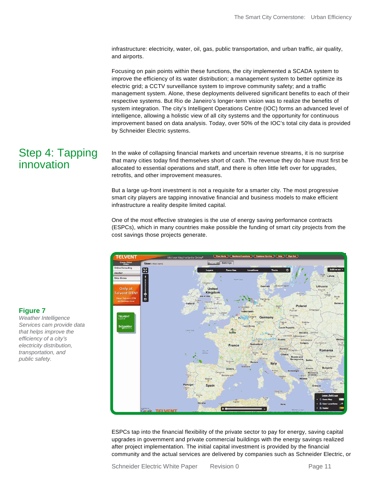infrastructure: electricity, water, oil, gas, public transportation, and urban traffic, air quality, and airports.

Focusing on pain points within these functions, the city implemented a SCADA system to improve the efficiency of its water distribution; a management system to better optimize its electric grid; a CCTV surveillance system to improve community safety; and a traffic management system. Alone, these deployments delivered significant benefits to each of their respective systems. But Rio de Janeiro's longer-term vision was to realize the benefits of system integration. The city's Intelligent Operations Centre (IOC) forms an advanced level of intelligence, allowing a holistic view of all city systems and the opportunity for continuous improvement based on data analysis. Today, over 50% of the IOC's total city data is provided by Schneider Electric systems.

### Step 4: Tapping innovation

In the wake of collapsing financial markets and uncertain revenue streams, it is no surprise that many cities today find themselves short of cash. The revenue they do have must first be allocated to essential operations and staff, and there is often little left over for upgrades, retrofits, and other improvement measures.

But a large up-front investment is not a requisite for a smarter city. The most progressive smart city players are tapping innovative financial and business models to make efficient infrastructure a reality despite limited capital.

One of the most effective strategies is the use of energy saving performance contracts (ESPCs), which in many countries make possible the funding of smart city projects from the cost savings those projects generate.



ESPCs tap into the financial flexibility of the private sector to pay for energy, saving capital upgrades in government and private commercial buildings with the energy savings realized after project implementation. The initial capital investment is provided by the financial community and the actual services are delivered by companies such as Schneider Electric, or

### **Figure 7**

*Weather Intelligence Services cam provide data that helps improve the efficiency of a city's electricity distribution, transportation, and public safety.*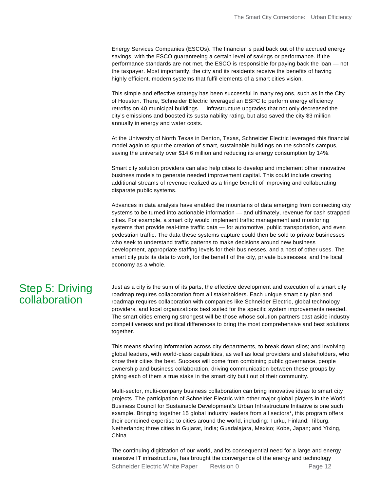Energy Services Companies (ESCOs). The financier is paid back out of the accrued energy savings, with the ESCO guaranteeing a certain level of savings or performance. If the performance standards are not met, the ESCO is responsible for paying back the loan — not the taxpayer. Most importantly, the city and its residents receive the benefits of having highly efficient, modern systems that fulfil elements of a smart cities vision.

This simple and effective strategy has been successful in many regions, such as in the City of Houston. There, Schneider Electric leveraged an ESPC to perform energy efficiency retrofits on 40 municipal buildings — infrastructure upgrades that not only decreased the city's emissions and boosted its sustainability rating, but also saved the city \$3 million annually in energy and water costs.

At the University of North Texas in Denton, Texas, Schneider Electric leveraged this financial model again to spur the creation of smart, sustainable buildings on the school's campus, saving the university over \$14.6 million and reducing its energy consumption by 14%.

Smart city solution providers can also help cities to develop and implement other innovative business models to generate needed improvement capital. This could include creating additional streams of revenue realized as a fringe benefit of improving and collaborating disparate public systems.

Advances in data analysis have enabled the mountains of data emerging from connecting city systems to be turned into actionable information — and ultimately, revenue for cash strapped cities. For example, a smart city would implement traffic management and monitoring systems that provide real-time traffic data — for automotive, public transportation, and even pedestrian traffic. The data these systems capture could then be sold to private businesses who seek to understand traffic patterns to make decisions around new business development, appropriate staffing levels for their businesses, and a host of other uses. The smart city puts its data to work, for the benefit of the city, private businesses, and the local economy as a whole.

### Step 5: Driving collaboration

Just as a city is the sum of its parts, the effective development and execution of a smart city roadmap requires collaboration from all stakeholders. Each unique smart city plan and roadmap requires collaboration with companies like Schneider Electric, global technology providers, and local organizations best suited for the specific system improvements needed. The smart cities emerging strongest will be those whose solution partners cast aside industry competitiveness and political differences to bring the most comprehensive and best solutions together.

This means sharing information across city departments, to break down silos; and involving global leaders, with world-class capabilities, as well as local providers and stakeholders, who know their cities the best. Success will come from combining public governance, people ownership and business collaboration, driving communication between these groups by giving each of them a true stake in the smart city built out of their community.

Multi-sector, multi-company business collaboration can bring innovative ideas to smart city projects. The participation of Schneider Electric with other major global players in the World Business Council for Sustainable Development's Urban Infrastructure Initiative is one such example. Bringing together 15 global industry leaders from all sectors<sup>\*</sup>, this program offers their combined expertise to cities around the world, including: Turku, Finland; Tilburg, Netherlands; three cities in Gujarat, India; Guadalajara, Mexico; Kobe, Japan; and Yixing, China.

The continuing digitization of our world, and its consequential need for a large and energy intensive IT infrastructure, has brought the convergence of the energy and technology